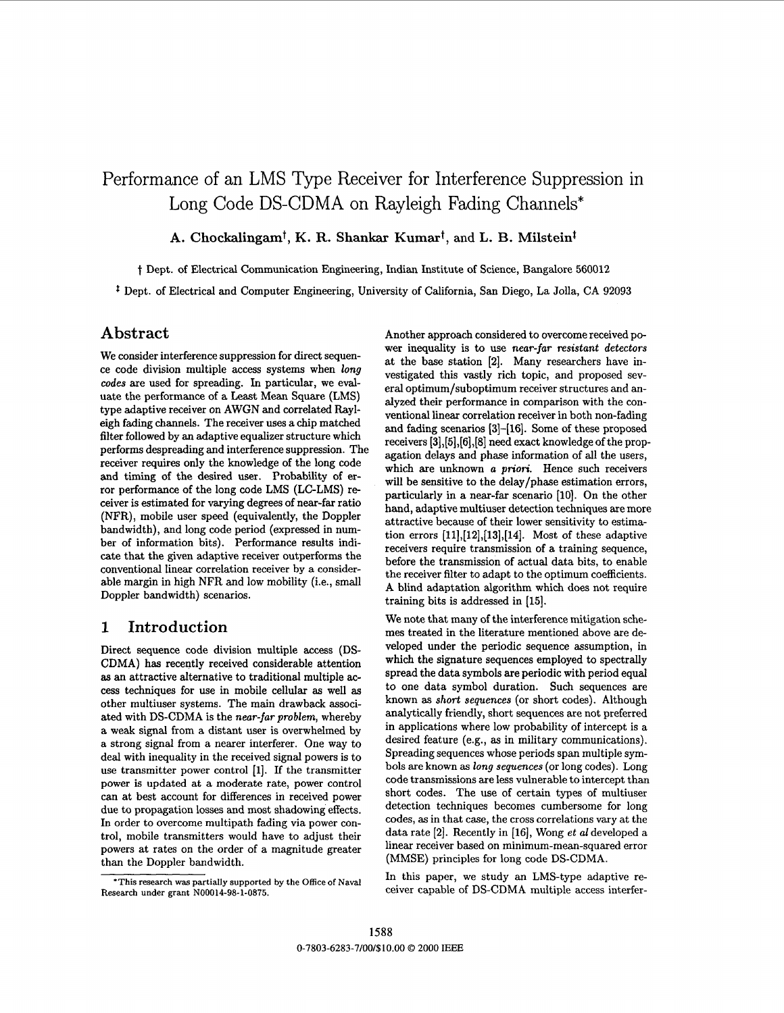# Performance of an LMS Type Receiver for Interference Suppression in Long Code DS-CDMA on Rayleigh Fading Channels\*

## **A. Chockalingamt, K. R. Shankar Kumart, and L. B. Milstein\***

t Dept. of Electrical Communication Engineering, Indian Institute of Science, Bangalore 560012

\* Dept. of Electrical and Computer Engineering, University of California, San Diego, La Jolla, CA 92093

# **Abstract**

We consider interference suppression for direct sequence code division multiple access systems when **long codes** are used for spreading. In particular, we evaluate the performance of a Least Mean Square (LMS) type adaptive receiver on AWGN and correlated Rayleigh fading channels. The receiver uses a chip matched filter followed by an adaptive equalizer structure which performs despreading and interference suppression. The receiver requires only the knowledge of the long code and timing of the desired user. Probability of error performance of the long code LMS (LC-LMS) **re**ceiver is estimated for varying degrees of near-far ratio (NFR), mobile user speed (equivalently, the Doppler bandwidth), and long code period (expressed in number of information bits). Performance results indicate that the given adaptive receiver outperforms the conventional linear correlation receiver by a considerable margin in high NFR and low mobility (i.e., small Doppler bandwidth) scenarios.

# **1 Introduction**

Direct sequence code division multiple access (DS-CDMA) has recently received considerable attention **as** an attractive alternative to traditional multiple access techniques for use in mobile cellular **as** well **as**  other multiuser systems. The main drawback associated with DS-CDMA is the **near-far problem,** whereby a weak signal from a distant user is overwhelmed by a strong signal from a nearer interferer. One way to deal with inequality in the received signal powers is to use transmitter power control [l]. If the transmitter power is updated at a moderate rate, power control can at best account for differences in received power due to propagation losses and most shadowing effects. In order to overcome multipath fading via power control, mobile transmitters would have to adjust their powers at rates on the order of a magnitude greater than the Doppler bandwidth.

Another approach considered to overcome received power inequality is to use **near-far resistant detectors**  at the base station [2]. Many researchers have investigated this vastly rich topic, and proposed several optimum/suboptimum receiver structures and analyzed their performance in comparison with the conventional linear correlation receiver in both non-fading and fading scenarios [3]-[16]. Some of these proposed receivers [3],[5],[6],[8] need exact knowledge of the propagation delays and phase information of all the users, which are unknown *a* **priori.** Hence such receivers will be sensitive to the delay/phase estimation errors, particularly in a near-far scenario [10]. On the other hand, adaptive multiuser detection techniques are more attractive because of their lower sensitivity to estimation errors [11],[12],[13],[14]. Most of these adaptive receivers require transmission of a training sequence, before the transmission of actual data bits, to enable the receiver filter to adapt to the optimum coefficients. **A** blind adaptation algorithm which does not require training bits is addressed in [15].

We note that many of the interference mitigation schemes treated in the literature mentioned above are developed under the periodic sequence assumption, in which the signature sequences employed to spectrally spread the data symbols are periodic with period equal to one data symbol duration. Such sequences are known **as short sequences** (or short codes). Although analytically friendly, short sequences are not preferred in applications where low probability of intercept is a desired feature (e.g., **as** in military communications). Spreading sequences whose periods span multiple symbols are known **as** *long* **sequences** (or long codes). Long code transmissions are less vulnerable to intercept than short codes. The use of certain types of multiuser detection techniques becomes cumbersome for long codes, **as** in that case, the cross correlations vary at the data rate **[2].** Recently in [16], Wong *et a1* developed a linear receiver based on minimum-mean-squared error (MMSE) principles for long code DS-CDMA.

In this paper, we study an LMS-type adaptive receiver capable of DS-CDMA multiple access interfer-

**<sup>&#</sup>x27;This research was partially supported by the Office of Naval Research under grant N00014-98-1-0875.**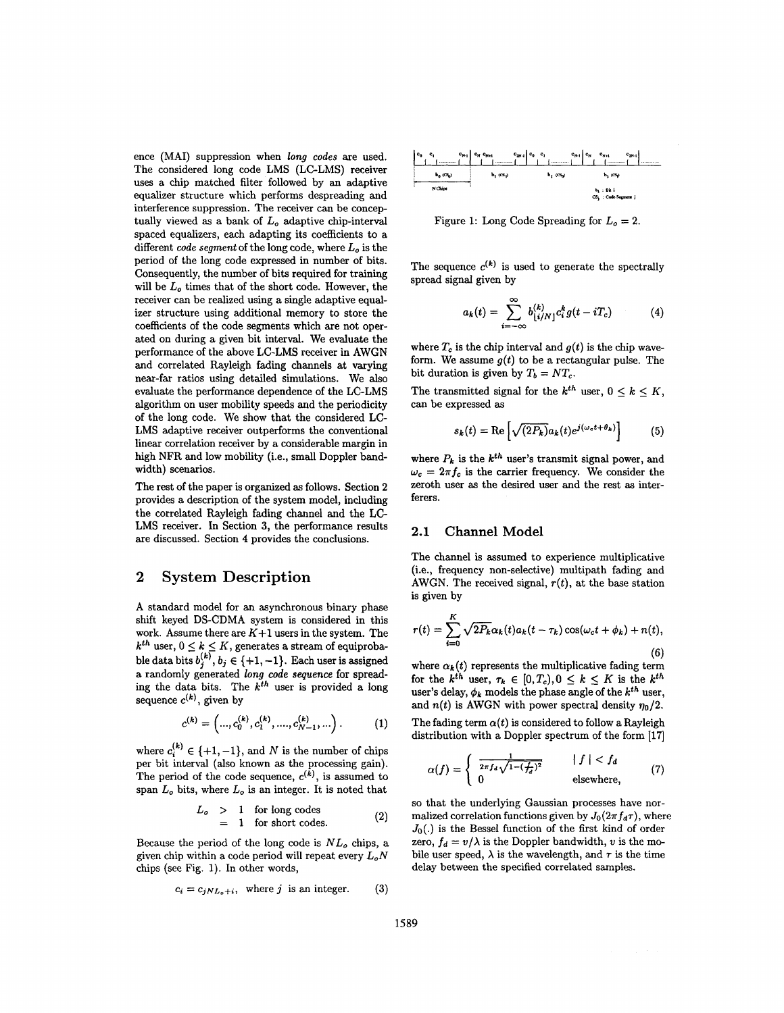ence (MAI) suppression when *long codes* are used. The considered long code LMS (LC-LMS) receiver uses a chip matched filter followed by an adaptive equalizer structure which performs despreading and interference suppression. The receiver can be conceptually viewed **as** a bank of *Lo* adaptive chip-interval spaced equalizers, each adapting its coefficients to a different *code segment* of the long code, where *La* is the period of the long code expressed in number of bits. Consequently, the number of bits required for training will be *La* times that of the short code. However, the receiver can be realized using a single adaptive equalizer structure using additional memory to store the coefficients of the code segments which are not operated on during a given bit interval. We evaluate the performance of the above LC-LMS receiver in AWGN and correlated Rayleigh fading channels at varying near-far ratios using detailed simulations. We also evaluate the performance dependence of the LC-LMS algorithm on user mobility speeds and the periodicity of the long code. We show that the considered LC-LMS adaptive receiver outperforms the conventional linear correlation receiver by a considerable margin in high NFR and low mobility (i.e., small Doppler bandwidth) scenarios.

The rest of the paper is organized **as** follows. Section **2**  provides a description of the system model, including the correlated Rayleigh fading channel and the LC-LMS receiver. In Section **3,** the performance results are discussed. Section *4* provides the conclusions.

## **2 System Description**

A standard model for an asynchronous binary phase shift keyed DS-CDMA system is considered in this work. Assume there are  $K+1$  users in the system. The  $k^{th}$  user,  $0 \leq k \leq K$ , generates a stream of equiprobable data bits  $b_j^{(k)}$ ,  $b_j \in \{+1, -1\}$ . Each user is assigned a randomly generated *long code sequence* for spreading the data bits. The *kth* user is provided a long sequence  $c^{(k)}$ , given by

$$
c^{(k)} = \left( ..., c_0^{(k)}, c_1^{(k)}, ..., c_{N-1}^{(k)}, ... \right). \tag{1}
$$

where  $c_i^{(k)} \in \{+1, -1\}$ , and *N* is the number of chips per bit interval (also known **as** the processing gain). The period of the code sequence,  $c^{(k)}$ , is assumed to span  $L<sub>o</sub>$  bits, where  $L<sub>o</sub>$  is an integer. It is noted that

$$
L_o > 1 \quad \text{for long codes} \\ = 1 \quad \text{for short codes.} \tag{2}
$$

Because the period of the long code is  $NL<sub>o</sub>$  chips, a given chip within a code period will repeat every  $L_oN$ chips (see Fig. 1). In other words,

$$
c_i = c_{jNL_o+i}, \text{ where } j \text{ is an integer.} \qquad (3)
$$



Figure 1: Long Code Spreading for  $L_0 = 2$ .

The sequence  $c^{(k)}$  is used to generate the spectrally spread signal given by

$$
a_k(t) = \sum_{i=-\infty}^{\infty} b_{\lfloor i/N \rfloor}^{(k)} c_i^k g(t - iT_c)
$$
 (4)

where  $T_c$  is the chip interval and  $q(t)$  is the chip waveform. We assume  $g(t)$  to be a rectangular pulse. The bit duration is given by  $T_b = NT_c$ .

The transmitted signal for the  $k^{th}$  user,  $0 \leq k \leq K$ , can be expressed **as** 

$$
s_k(t) = \text{Re}\left[\sqrt{(2P_k)}a_k(t)e^{j(\omega_c t + \theta_k)}\right]
$$
(5)

where  $P_k$  is the  $k^{th}$  user's transmit signal power, and  $\omega_c = 2\pi f_c$  is the carrier frequency. We consider the zeroth user **as** the desired user and the rest **as** interferers.

#### **2.1 Channel Model**

The channel is assumed to experience multiplicative (i.e., frequency non-selective) multipath fading and AWGN. The received signal,  $r(t)$ , at the base station is given by

$$
r(t) = \sum_{i=0}^{K} \sqrt{2P_k} \alpha_k(t) a_k(t - \tau_k) \cos(\omega_c t + \phi_k) + n(t),
$$

where  $\alpha_k(t)$  represents the multiplicative fading term for the  $k^{th}$  user,  $\tau_k \in [0, T_c)$ ,  $0 \leq k \leq K$  is the  $k^{th}$ user's delay,  $\phi_k$  models the phase angle of the  $k^{th}$  user, and  $n(t)$  is AWGN with power spectral density  $\eta_0/2$ .

The fading term  $\alpha(t)$  is considered to follow a Rayleigh distribution with a Doppler spectrum of the form **[17]** 

$$
\alpha(f) = \begin{cases} \frac{1}{2\pi f_d \sqrt{1 - (\frac{f}{f_d})^2}} & \quad |f| < f_d \\ 0 & \quad \text{elsewhere,} \end{cases} \tag{7}
$$

so that the underlying Gaussian processes have normalized correlation functions given by  $J_0(2\pi f_d\tau)$ , where  $J_0(.)$  is the Bessel function of the first kind of order zero,  $f_d = v/\lambda$  is the Doppler bandwidth, v is the mobile user speed,  $\lambda$  is the wavelength, and  $\tau$  is the time delay between the specified correlated samples.

**1589**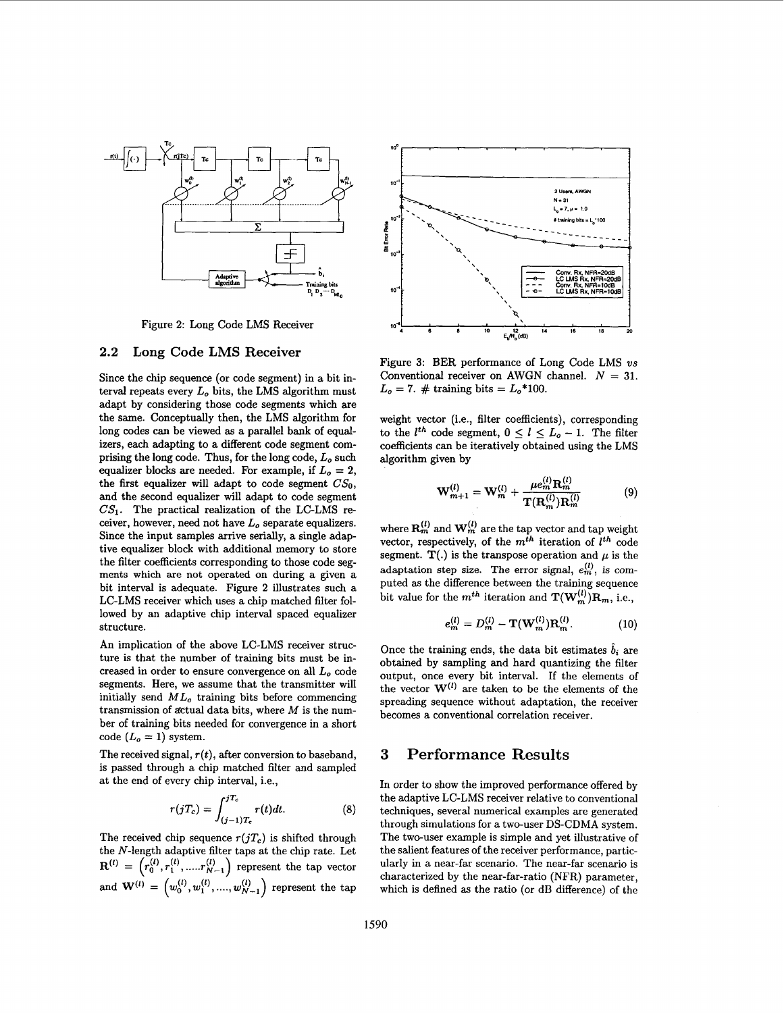

Figure **2:** Long Code LMS Receiver

#### **2.2 Long Code LMS Receiver**

Since the chip sequence (or code segment) in a bit interval repeats every *Lo* bits, the LMS algorithm must adapt by considering those code segments which axe the same. Conceptually then, the LMS algorithm for long codes *can* be viewed **as** a parallel bank of equalizers, each adapting to a different code segment comprising the long code. Thus, for the long code, *Lo* such equalizer blocks are needed. For example, if  $L_0 = 2$ , the first equalizer will adapt to code segment  $CS_0$ , and the second equalizer will adapt to code segment **CS1.** The practical realization of the LC-LMS receiver, however, need not have *Lo* separate equalizers. Since the input samples arrive serially, a single adaptive equalizer block with additional memory to store the filter coefficients corresponding to those code segments which are not operated on during a given a bit interval is adequate. Figure **2** illustrates such a LC-LMS receiver which uses a chip matched filter followed by an adaptive chip interval spaced equalizer structure.

An implication of the above LC-LMS receiver structure is that the number of training bits must be increased in order to ensure convergence on all *Lo* code segments. Here, we assume that the transmitter will initially send  $ML<sub>o</sub>$  training bits before commencing transmission of actual data bits, where *M* is the number of training bits needed for convergence in a short code  $(L<sub>o</sub> = 1)$  system.

The received signal, *r(t),* after conversion to baseband, is passed through a chip matched filter and sampled at the end of every chip interval, i.e.,

$$
r(jT_c) = \int_{(j-1)T_c}^{jT_c} r(t)dt.
$$
 (8)

The received chip sequence  $r(jT_c)$  is shifted through the N-length adaptive filter taps at the chip rate. Let  $R^{(l)} = (r_0^{(l)}, r_1^{(l)}, \dots, r_{N-1}^{(l)})$  represent the tap vector and  $\mathbf{W}^{(l)} = (w_0^{(l)}, w_1^{(l)}, ..., w_{N-1}^{(l)})$  represent the tap



Figure **3:** BER performance of Long Code LMS *vs*  Conventional receiver on AWGN channel.  $N = 31$ .  $L_o = 7.$  # training bits =  $L_o$ \*100.

weight vector (i.e., filter coefficients), corresponding to the *l<sup>th</sup>* code segment,  $0 \le l \le L_o - 1$ . The filter coefficients can be iteratively obtained using the LMS algorithm given by

$$
\mathbf{W}_{m+1}^{(l)} = \mathbf{W}_m^{(l)} + \frac{\mu e_m^{(l)} \mathbf{R}_m^{(l)}}{\mathbf{T}(\mathbf{R}_m^{(l)}) \mathbf{R}_m^{(l)}} \tag{9}
$$

where  $\mathbf{R}_m^{(l)}$  and  $\mathbf{W}_m^{(l)}$  are the tap vector and tap weight vector, respectively, of the  $m^{th}$  iteration of  $l^{th}$  code segment. **T**(.) is the transpose operation and  $\mu$  is the adaptation step size. The error signal,  $e_m^{(l)}$ , is computed **as** the difference between the training sequence bit value for the  $m^{th}$  iteration and  $\mathbf{T}(\mathbf{W}_{m}^{(l)})\mathbf{R}_{m}$ , i.e.,

$$
e_m^{(l)} = D_m^{(l)} - \mathbf{T}(\mathbf{W}_m^{(l)}) \mathbf{R}_m^{(l)}.
$$
 (10)

Once the training ends, the data bit estimates  $\hat{b}_i$  are obtained by sampling and hard quantizing the filter output, once every bit interval. If the elements of the vector  $W^{(l)}$  are taken to be the elements of the spreading sequence without adaptation, the receiver becomes a conventional correlation receiver.

## **3 Performance Results**

In order to show the improved performance offered by the adaptive LC-LMS receiver relative to conventional techniques, several numerical examples are generated through simulations for a two-user DS-CDMA system. The two-user example is simple and yet illustrative of the salient features of the receiver performance, particularly in a near-far scenario. The near-far scenario is characterized by the near-far-ratio (NFR) parameter, which is defined **as** the ratio (or dB difference) of the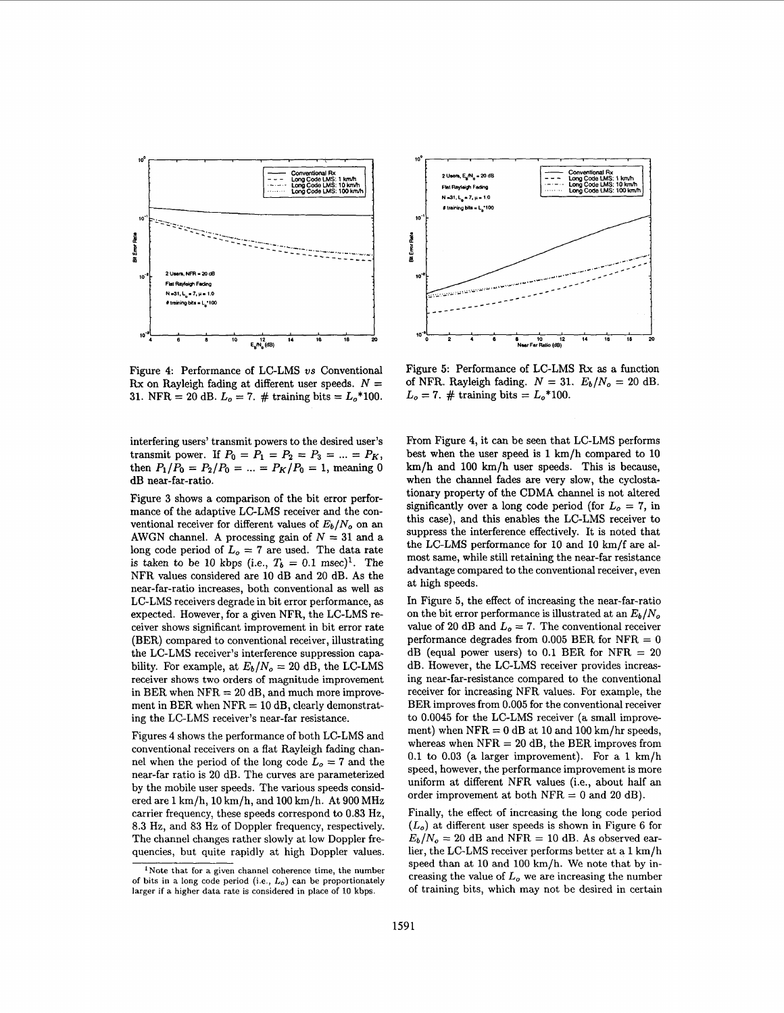

Figure **4:** Performance of LC-LMS *vs* Conventional Rx on Rayleigh fading at different user speeds.  $N =$ 31. NFR = 20 dB.  $L_0 = 7$ . # training bits =  $L_0$ \*100.

interfering users' transmit powers to the desired user's transmit power. If  $P_0 = P_1 = P_2 = P_3 = ... = P_K$ , then  $P_1/P_0 = P_2/P_0 = ... = P_K/P_0 = 1$ , meaning 0 dB near-far-ratio.

Figure 3 shows a comparison of the bit error performance of the adaptive LC-LMS receiver and the conventional receiver for different values of  $E_b/N_o$  on an AWGN channel. A processing gain of  $N = 31$  and a long code period of  $L<sub>o</sub> = 7$  are used. The data rate is taken to be 10 kbps (i.e.,  $T_b = 0.1$  msec)<sup>1</sup>. The NFR values considered are 10 dB and **20** dB. As the near-far-ratio increases, both conventional **as** well **as**  LC-LMS receivers degrade in bit error performance, **as**  expected. However, for a given NFR, the LC-LMS receiver shows significant improvement in bit error rate (BER) compared to conventional receiver, illustrating the LC-LMS receiver's interference suppression capability. For example, at  $E_b/N_o = 20$  dB, the LC-LMS receiver shows two orders of magnitude improvement in BER when  $NFR = 20$  dB, and much more improvement in BER when  $NFR = 10$  dB, clearly demonstrating the LC-LMS receiver's near-far resistance.

Figures **4** shows the performance of both LC-LMS and conventional receivers on a flat Rayleigh fading channel when the period of the long code  $L_o = 7$  and the near-far ratio is 20 dB. The curves are parameterized by the mobile user speeds. The various speeds considered are 1 km/h, 10 km/h, and 100 km/h. At 900 MHz carrier frequency, these speeds correspond to 0.83 Hz, 8.3 Hz, and 83 Hz of Doppler frequency, respectively. The channel changes rather slowly at low Doppler frequencies, but quite rapidly at high Doppler values.



Figure 5: Performance of LC-LMS Rx as a function of NFR. Rayleigh fading.  $N = 31$ .  $E_b/N_o = 20$  dB.  $L_0 = 7.$  # training bits =  $L_0$ \*100.

From Figure **4,** it can be seen that LC-LMS performs best when the user speed is 1 km/h compared to 10 km/h and 100 km/h user speeds. This is because, when the channel fades are very slow, the cyclostationary property of the CDMA channel is not altered significantly over a long code period (for  $L<sub>o</sub> = 7$ , in this case), and this enables the LC-LMS receiver to suppress the interference effectively. It is noted that the LC-LMS performance for 10 and 10 km/f are almost same, while still retaining the near-far resistance advantage compared to the conventional receiver, even at high speeds.

In Figure **5,** the effect of increasing the near-far-ratio on the bit error performance is illustrated at an *Eb/No*  value of 20 dB and  $L_0 = 7$ . The conventional receiver performance degrades from  $0.005$  BER for NFR = 0 dB (equal power users) to 0.1 BER for NFR = **20**  dB. However, the LC-LMS receiver provides increasing near-far-resistance compared to the conventional receiver for increasing NFR values. For example, the BER improves from 0.005 for the conventional receiver to **0.0045** for the LC-LMS receiver (a small improvement) when  $NFR = 0$  dB at 10 and 100 km/hr speeds, whereas when NFR = **20** dB, the BER improves from 0.1 to **0.03** (a larger improvement). For a 1 km/h speed, however, the performance improvement is more uniform at different NFR values (i.e., about half an order improvement at both  $NFR = 0$  and 20 dB).

Finally, the effect of increasing the long code period *(Lo)* at different user speeds is shown in Figure 6 for  $E_b/N_o = 20$  dB and NFR = 10 dB. As observed earlier, the LC-LMS receiver performs better at a l km/h speed than at 10 and 100 km/h. We note that by increasing the value of *Lo* we are increasing the number of training bits, which may not be desired in certain

**<sup>&#</sup>x27;Note that for a given channel coherence time, the number**  of bits in a long code period (i.e.,  $L_o$ ) can be proportionately **larger** if **a higher data rate** *is* **considered in place of 10 kbps.**